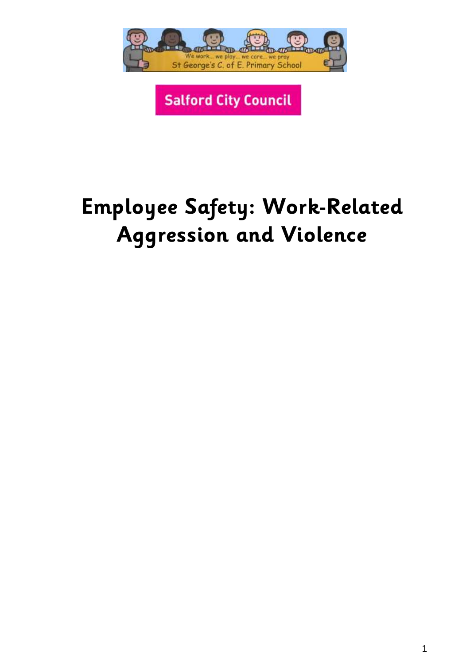

**Salford City Council** 

# **Employee Safety: Work-Related Aggression and Violence**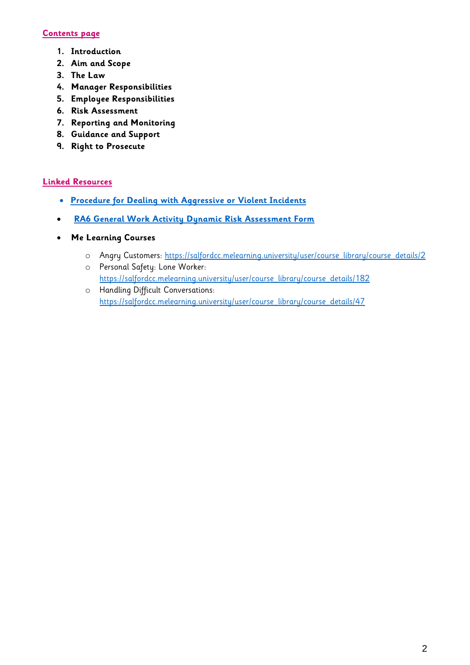# **Contents page**

- **1. Introduction**
- **2. Aim and Scope**
- **3. The Law**
- **4. Manager Responsibilities**
- **5. Employee Responsibilities**
- **6. Risk Assessment**
- **7. Reporting and Monitoring**
- **8. Guidance and Support**
- **9. Right to Prosecute**

#### **Linked Resources**

- **[Procedure for Dealing with Aggressive or Violent Incidents](https://yourzone.salford.gov.uk/knowledge-zone/how-we-do-things/health-and-safety/browse-by-topic/accidents-and-incidents/employee-safety-dealing-with-work-related-violence-and-aggression/)**
- **[RA6 General Work Activity Dynamic Risk Assessment Form](https://yourzone.salford.gov.uk/knowledge-zone/how-we-do-things/health-and-safety/browse-by-topic/risk-assessments/)**
- **Me Learning Courses**
	- o Angry Customers: [https://salfordcc.melearning.university/user/course\\_library/course\\_details/2](https://salfordcc.melearning.university/user/course_library/course_details/2)
	- o Personal Safety: Lone Worker: [https://salfordcc.melearning.university/user/course\\_library/course\\_details/182](https://salfordcc.melearning.university/user/course_library/course_details/182) o Handling Difficult Conversations:
	- [https://salfordcc.melearning.university/user/course\\_library/course\\_details/47](https://salfordcc.melearning.university/user/course_library/course_details/47)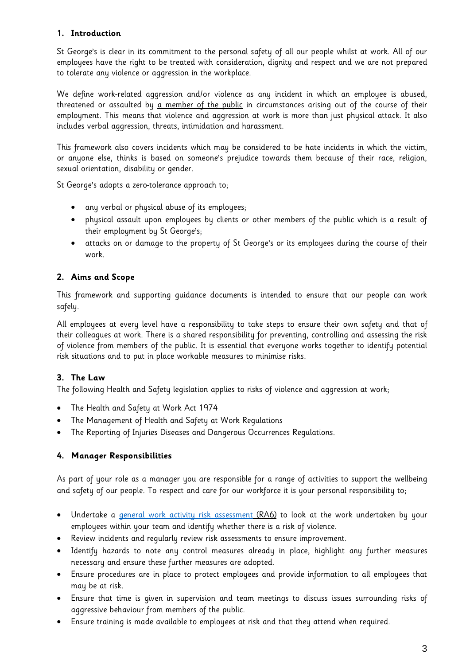# **1. Introduction**

St George's is clear in its commitment to the personal safety of all our people whilst at work. All of our employees have the right to be treated with consideration, dignity and respect and we are not prepared to tolerate any violence or aggression in the workplace.

We define work-related aggression and/or violence as any incident in which an employee is abused, threatened or assaulted by a member of the public in circumstances arising out of the course of their employment. This means that violence and aggression at work is more than just physical attack. It also includes verbal aggression, threats, intimidation and harassment.

This framework also covers incidents which may be considered to be hate incidents in which the victim, or anyone else, thinks is based on someone's prejudice towards them because of their race, religion, sexual orientation, disability or gender.

St George's adopts a zero-tolerance approach to;

- any verbal or physical abuse of its employees;
- physical assault upon employees by clients or other members of the public which is a result of their employment by St George's;
- attacks on or damage to the property of St George's or its employees during the course of their work.

# **2. Aims and Scope**

This framework and supporting guidance documents is intended to ensure that our people can work safely.

All employees at every level have a responsibility to take steps to ensure their own safety and that of their colleagues at work. There is a shared responsibility for preventing, controlling and assessing the risk of violence from members of the public. It is essential that everyone works together to identify potential risk situations and to put in place workable measures to minimise risks.

# **3. The Law**

The following Health and Safety legislation applies to risks of violence and aggression at work;

- The Health and Safety at Work Act 1974
- The Management of Health and Safety at Work Regulations
- The Reporting of Injuries Diseases and Dangerous Occurrences Regulations.

# **4. Manager Responsibilities**

As part of your role as a manager you are responsible for a range of activities to support the wellbeing and safety of our people. To respect and care for our workforce it is your personal responsibility to;

- Undertake a [general work activity risk assessment](https://yourzone.salford.gov.uk/knowledge-zone/how-we-do-things/health-and-safety/browse-by-topic/risk-assessments/) (RA6) to look at the work undertaken by your employees within your team and identify whether there is a risk of violence.
- Review incidents and regularly review risk assessments to ensure improvement.
- Identify hazards to note any control measures already in place, highlight any further measures necessary and ensure these further measures are adopted.
- Ensure procedures are in place to protect employees and provide information to all employees that may be at risk.
- Ensure that time is given in supervision and team meetings to discuss issues surrounding risks of aggressive behaviour from members of the public.
- Ensure training is made available to employees at risk and that they attend when required.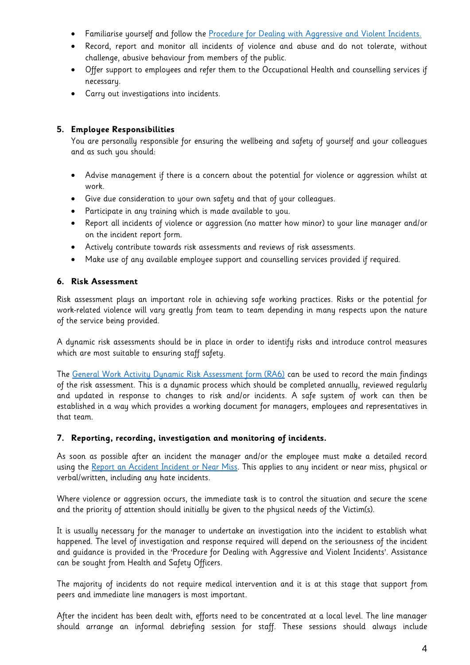- Familiarise yourself and follow the [Procedure for Dealing with Aggressive and Violent Incidents.](https://yourzone.salford.gov.uk/knowledge-zone/how-we-do-things/health-and-safety/browse-by-topic/accidents-and-incidents/employee-safety-dealing-with-work-related-violence-and-aggression/)
- Record, report and monitor all incidents of violence and abuse and do not tolerate, without challenge, abusive behaviour from members of the public.
- Offer support to employees and refer them to the Occupational Health and counselling services if necessary.
- Carry out investigations into incidents.

### **5. Employee Responsibilities**

You are personally responsible for ensuring the wellbeing and safety of yourself and your colleagues and as such you should:

- Advise management if there is a concern about the potential for violence or aggression whilst at work.
- Give due consideration to your own safety and that of your colleagues.
- Participate in any training which is made available to you.
- Report all incidents of violence or aggression (no matter how minor) to your line manager and/or on the incident report form.
- Actively contribute towards risk assessments and reviews of risk assessments.
- Make use of any available employee support and counselling services provided if required.

#### **6. Risk Assessment**

Risk assessment plays an important role in achieving safe working practices. Risks or the potential for work-related violence will vary greatly from team to team depending in many respects upon the nature of the service being provided.

A dynamic risk assessments should be in place in order to identify risks and introduce control measures which are most suitable to ensuring staff safety.

The [General Work Activity Dynamic Risk Assessment form \(RA6\)](https://yourzone.salford.gov.uk/knowledge-zone/how-we-do-things/health-and-safety/browse-by-topic/risk-assessments/) can be used to record the main findings of the risk assessment. This is a dynamic process which should be completed annually, reviewed regularly and updated in response to changes to risk and/or incidents. A safe system of work can then be established in a way which provides a working document for managers, employees and representatives in that team.

#### **7. Reporting, recording, investigation and monitoring of incidents.**

As soon as possible after an incident the manager and/or the employee must make a detailed record using the [Report an Accident Incident or Near Miss.](https://yourzone.salford.gov.uk/knowledge-zone/how-we-do-things/health-and-safety/browse-by-topic/accidents-and-incidents/) This applies to any incident or near miss, physical or verbal/written, including any hate incidents.

Where violence or aggression occurs, the immediate task is to control the situation and secure the scene and the priority of attention should initially be given to the physical needs of the Victim(s).

It is usually necessary for the manager to undertake an investigation into the incident to establish what happened. The level of investigation and response required will depend on the seriousness of the incident and guidance is provided in the 'Procedure for Dealing with Aggressive and Violent Incidents'. Assistance can be sought from Health and Safety Officers.

The majority of incidents do not require medical intervention and it is at this stage that support from peers and immediate line managers is most important.

After the incident has been dealt with, efforts need to be concentrated at a local level. The line manager should arrange an informal debriefing session for staff. These sessions should always include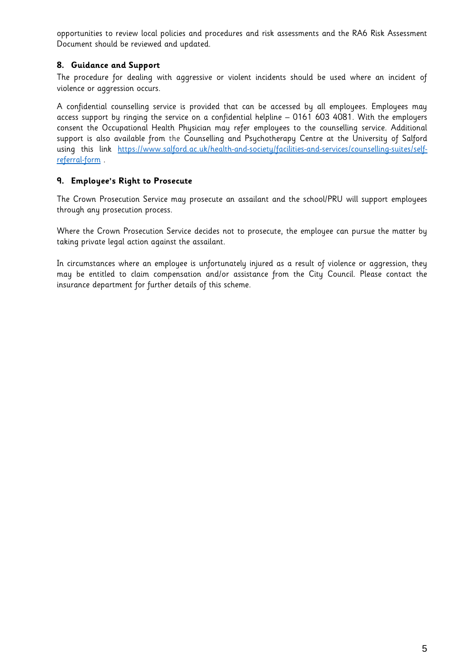opportunities to review local policies and procedures and risk assessments and the RA6 Risk Assessment Document should be reviewed and updated.

# **8. Guidance and Support**

The procedure for dealing with aggressive or violent incidents should be used where an incident of violence or aggression occurs.

A confidential counselling service is provided that can be accessed by all employees. Employees may access support by ringing the service on a confidential helpline – 0161 603 4081. With the employers consent the Occupational Health Physician may refer employees to the counselling service. Additional support is also available from the Counselling and Psychotherapy Centre at the University of Salford using this link [https://www.salford.ac.uk/health-and-society/facilities-and-services/counselling-suites/self](https://www.salford.ac.uk/health-and-society/facilities-and-services/counselling-suites/self-referral-form)[referral-form](https://www.salford.ac.uk/health-and-society/facilities-and-services/counselling-suites/self-referral-form) .

# **9. Employee's Right to Prosecute**

The Crown Prosecution Service may prosecute an assailant and the school/PRU will support employees through any prosecution process.

Where the Crown Prosecution Service decides not to prosecute, the employee can pursue the matter by taking private legal action against the assailant.

In circumstances where an employee is unfortunately injured as a result of violence or aggression, they may be entitled to claim compensation and/or assistance from the City Council. Please contact the insurance department for further details of this scheme.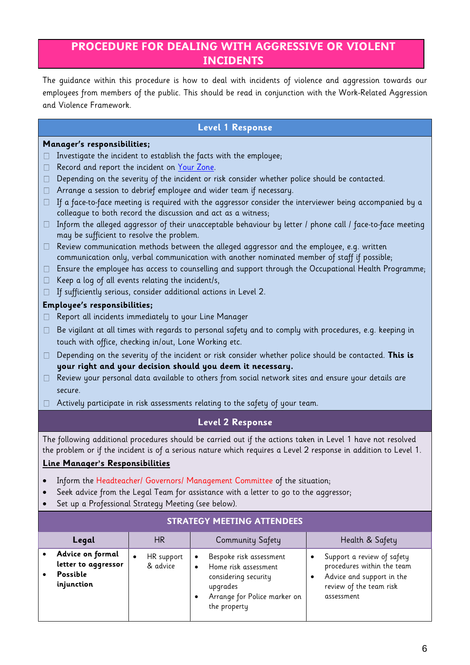# **PROCEDURE FOR DEALING WITH AGGRESSIVE OR VIOLENT INCIDENTS**

The guidance within this procedure is how to deal with incidents of violence and aggression towards our employees from members of the public. This should be read in conjunction with the Work-Related Aggression and Violence Framework.

# **Level 1 Response**

#### **Manager's responsibilities;**

- $\Box$  Investigate the incident to establish the facts with the employee;
- Record and report the incident on [Your Zone.](https://yourzone.salford.gov.uk/knowledge-zone/how-we-do-things/health-and-safety/browse-by-topic/accidents-and-incidents/)  $\Box$
- Depending on the severity of the incident or risk consider whether police should be contacted.  $\Box$
- $\Box$  Arrange a session to debrief employee and wider team if necessary.
- $\Box$  If a face-to-face meeting is required with the aggressor consider the interviewer being accompanied by a colleague to both record the discussion and act as a witness;
- $\Box$  Inform the alleged aggressor of their unacceptable behaviour by letter / phone call / face-to-face meeting may be sufficient to resolve the problem.
- $\Box$  Review communication methods between the alleged aggressor and the employee, e.g. written communication only, verbal communication with another nominated member of staff if possible;
- Ensure the employee has access to counselling and support through the Occupational Health Programme;
- $\Box$ Keep a log of all events relating the incident/s,
- $\Box$  If sufficiently serious, consider additional actions in Level 2.

#### **Employee's responsibilities;**

- □ Report all incidents immediately to your Line Manager
- $\Box$  Be vigilant at all times with regards to personal safety and to comply with procedures, e.g. keeping in touch with office, checking in/out, Lone Working etc.
- Depending on the severity of the incident or risk consider whether police should be contacted. **This is**   $\Box$ **your right and your decision should you deem it necessary.**
- $\Box$  Review your personal data available to others from social network sites and ensure your details are secure.
- $\Box$  Actively participate in risk assessments relating to the safety of your team.

# **Level 2 Response**

The following additional procedures should be carried out if the actions taken in Level 1 have not resolved the problem or if the incident is of a serious nature which requires a Level 2 response in addition to Level 1.

# **Line Manager's Responsibilities**

- Inform the Headteacher/ Governors/ Management Committee of the situation;
- Seek advice from the Legal Team for assistance with a letter to go to the aggressor;
- Set up a Professional Strategy Meeting (see below).

| SIRAILUI MEEIINU AIILNDEES                                        |                        |                                                                                                                                                               |                                                                                                                                |  |  |  |
|-------------------------------------------------------------------|------------------------|---------------------------------------------------------------------------------------------------------------------------------------------------------------|--------------------------------------------------------------------------------------------------------------------------------|--|--|--|
| Legal                                                             | HR.                    | Community Safety                                                                                                                                              | Health & Safety                                                                                                                |  |  |  |
| Advice on formal<br>letter to aggressor<br>Possible<br>injunction | HR support<br>& advice | Bespoke risk assessment<br>$\bullet$<br>Home risk assessment<br>$\bullet$<br>considering security<br>upgrades<br>Arrange for Police marker on<br>the property | Support a review of safety<br>procedures within the team<br>Advice and support in the<br>review of the team risk<br>assessment |  |  |  |

# **STRATEGY MEETING ATTENDEES**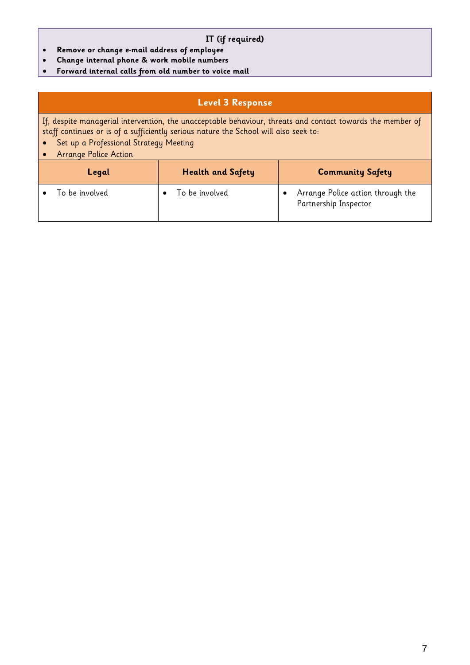#### **IT (if required)**

- **Remove or change e-mail address of employee**
- **Change internal phone & work mobile numbers**
- **Forward internal calls from old number to voice mail**

# **Level 3 Response**

If, despite managerial intervention, the unacceptable behaviour, threats and contact towards the member of staff continues or is of a sufficiently serious nature the School will also seek to:

- Set up a Professional Strategy Meeting
- Arrange Police Action

| Legal          | <b>Health and Safety</b> | <b>Community Safety</b>                                    |
|----------------|--------------------------|------------------------------------------------------------|
| To be involved | To be involved           | Arrange Police action through the<br>Partnership Inspector |